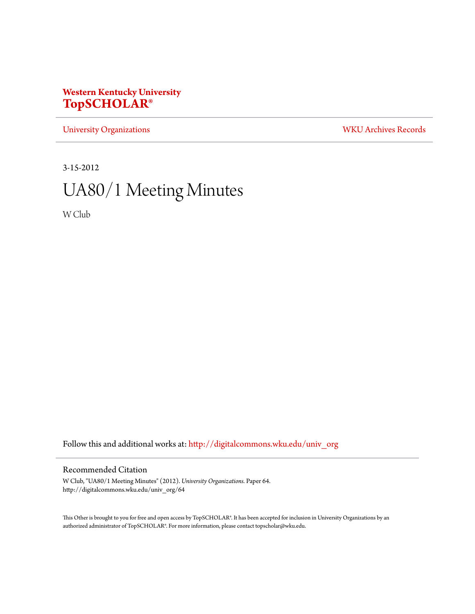## **Western Kentucky University [TopSCHOLAR®](http://digitalcommons.wku.edu?utm_source=digitalcommons.wku.edu%2Funiv_org%2F64&utm_medium=PDF&utm_campaign=PDFCoverPages)**

[University Organizations](http://digitalcommons.wku.edu/univ_org?utm_source=digitalcommons.wku.edu%2Funiv_org%2F64&utm_medium=PDF&utm_campaign=PDFCoverPages) [WKU Archives Records](http://digitalcommons.wku.edu/dlsc_ua_records?utm_source=digitalcommons.wku.edu%2Funiv_org%2F64&utm_medium=PDF&utm_campaign=PDFCoverPages)

3-15-2012

# UA80/1 Meeting Minutes

W Club

Follow this and additional works at: [http://digitalcommons.wku.edu/univ\\_org](http://digitalcommons.wku.edu/univ_org?utm_source=digitalcommons.wku.edu%2Funiv_org%2F64&utm_medium=PDF&utm_campaign=PDFCoverPages)

### Recommended Citation

W Club, "UA80/1 Meeting Minutes" (2012). *University Organizations.* Paper 64. http://digitalcommons.wku.edu/univ\_org/64

This Other is brought to you for free and open access by TopSCHOLAR®. It has been accepted for inclusion in University Organizations by an authorized administrator of TopSCHOLAR®. For more information, please contact topscholar@wku.edu.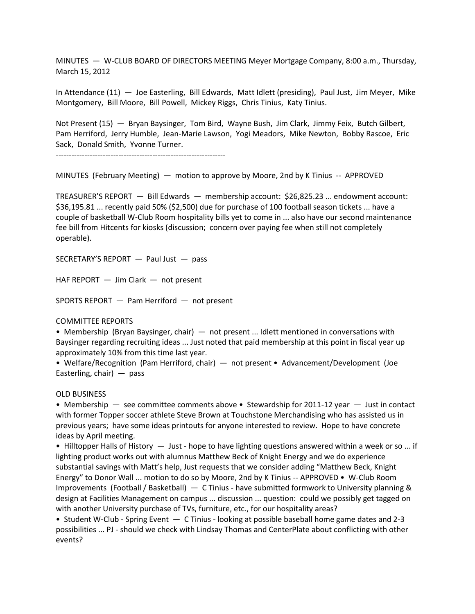MINUTES — W-CLUB BOARD OF DIRECTORS MEETING Meyer Mortgage Company, 8:00 a.m., Thursday, March 15, 2012

In Attendance (11) — Joe Easterling, Bill Edwards, Matt Idlett (presiding), Paul Just, Jim Meyer, Mike Montgomery, Bill Moore, Bill Powell, Mickey Riggs, Chris Tinius, Katy Tinius.

Not Present (15) — Bryan Baysinger, Tom Bird, Wayne Bush, Jim Clark, Jimmy Feix, Butch Gilbert, Pam Herriford, Jerry Humble, Jean-Marie Lawson, Yogi Meadors, Mike Newton, Bobby Rascoe, Eric Sack, Donald Smith, Yvonne Turner.

-----------------------------------------------------------------

MINUTES (February Meeting) — motion to approve by Moore, 2nd by K Tinius -- APPROVED

TREASURER'S REPORT — Bill Edwards — membership account: \$26,825.23 ... endowment account: \$36,195.81 ... recently paid 50% (\$2,500) due for purchase of 100 football season tickets ... have a couple of basketball W-Club Room hospitality bills yet to come in ... also have our second maintenance fee bill from Hitcents for kiosks (discussion; concern over paying fee when still not completely operable).

SECRETARY'S REPORT — Paul Just — pass

HAF REPORT — Jim Clark — not present

SPORTS REPORT — Pam Herriford — not present

#### COMMITTEE REPORTS

• Membership (Bryan Baysinger, chair) — not present ... Idlett mentioned in conversations with Baysinger regarding recruiting ideas ... Just noted that paid membership at this point in fiscal year up approximately 10% from this time last year.

• Welfare/Recognition (Pam Herriford, chair) — not present • Advancement/Development (Joe Easterling, chair) — pass

#### OLD BUSINESS

• Membership — see committee comments above • Stewardship for 2011-12 year — Just in contact with former Topper soccer athlete Steve Brown at Touchstone Merchandising who has assisted us in previous years; have some ideas printouts for anyone interested to review. Hope to have concrete ideas by April meeting.

• Hilltopper Halls of History — Just - hope to have lighting questions answered within a week or so ... if lighting product works out with alumnus Matthew Beck of Knight Energy and we do experience substantial savings with Matt's help, Just requests that we consider adding "Matthew Beck, Knight Energy" to Donor Wall ... motion to do so by Moore, 2nd by K Tinius -- APPROVED • W-Club Room Improvements (Football / Basketball) — C Tinius - have submitted formwork to University planning & design at Facilities Management on campus ... discussion ... question: could we possibly get tagged on with another University purchase of TVs, furniture, etc., for our hospitality areas?

• Student W-Club - Spring Event — C Tinius - looking at possible baseball home game dates and 2-3 possibilities ... PJ - should we check with Lindsay Thomas and CenterPlate about conflicting with other events?